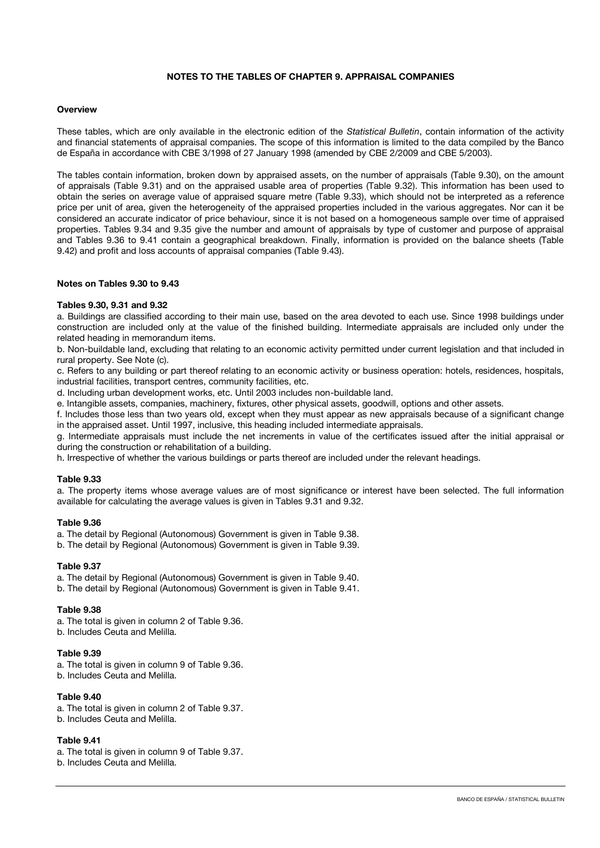# **NOTES TO THE TABLES OF CHAPTER 9. APPRAISAL COMPANIES**

## **Overview**

These tables, which are only available in the electronic edition of the *Statistical Bulletin*, contain information of the activity and financial statements of appraisal companies. The scope of this information is limited to the data compiled by the Banco de España in accordance with CBE 3/1998 of 27 January 1998 (amended by CBE 2/2009 and CBE 5/2003).

The tables contain information, broken down by appraised assets, on the number of appraisals (Table 9.30), on the amount of appraisals (Table 9.31) and on the appraised usable area of properties (Table 9.32). This information has been used to obtain the series on average value of appraised square metre (Table 9.33), which should not be interpreted as a reference price per unit of area, given the heterogeneity of the appraised properties included in the various aggregates. Nor can it be considered an accurate indicator of price behaviour, since it is not based on a homogeneous sample over time of appraised properties. Tables 9.34 and 9.35 give the number and amount of appraisals by type of customer and purpose of appraisal and Tables 9.36 to 9.41 contain a geographical breakdown. Finally, information is provided on the balance sheets (Table 9.42) and profit and loss accounts of appraisal companies (Table 9.43).

### **Notes on Tables 9.30 to 9.43**

### **Tables 9.30, 9.31 and 9.32**

a. Buildings are classified according to their main use, based on the area devoted to each use. Since 1998 buildings under construction are included only at the value of the finished building. Intermediate appraisals are included only under the related heading in memorandum items.

b. Non-buildable land, excluding that relating to an economic activity permitted under current legislation and that included in rural property. See Note (c).

c. Refers to any building or part thereof relating to an economic activity or business operation: hotels, residences, hospitals, industrial facilities, transport centres, community facilities, etc.

d. Including urban development works, etc. Until 2003 includes non-buildable land.

e. Intangible assets, companies, machinery, fixtures, other physical assets, goodwill, options and other assets.

f. Includes those less than two years old, except when they must appear as new appraisals because of a significant change in the appraised asset. Until 1997, inclusive, this heading included intermediate appraisals.

g. Intermediate appraisals must include the net increments in value of the certificates issued after the initial appraisal or during the construction or rehabilitation of a building.

h. Irrespective of whether the various buildings or parts thereof are included under the relevant headings.

#### **Table 9.33**

a. The property items whose average values are of most significance or interest have been selected. The full information available for calculating the average values is given in Tables 9.31 and 9.32.

#### **Table 9.36**

a. The detail by Regional (Autonomous) Government is given in Table 9.38.

b. The detail by Regional (Autonomous) Government is given in Table 9.39.

#### **Table 9.37**

a. The detail by Regional (Autonomous) Government is given in Table 9.40.

b. The detail by Regional (Autonomous) Government is given in Table 9.41.

#### **Table 9.38**

a. The total is given in column 2 of Table 9.36. b. Includes Ceuta and Melilla.

### **Table 9.39**

- a. The total is given in column 9 of Table 9.36.
- b. Includes Ceuta and Melilla.

### **Table 9.40**

a. The total is given in column 2 of Table 9.37.

b. Includes Ceuta and Melilla.

### **Table 9.41**

a. The total is given in column 9 of Table 9.37.

b. Includes Ceuta and Melilla.